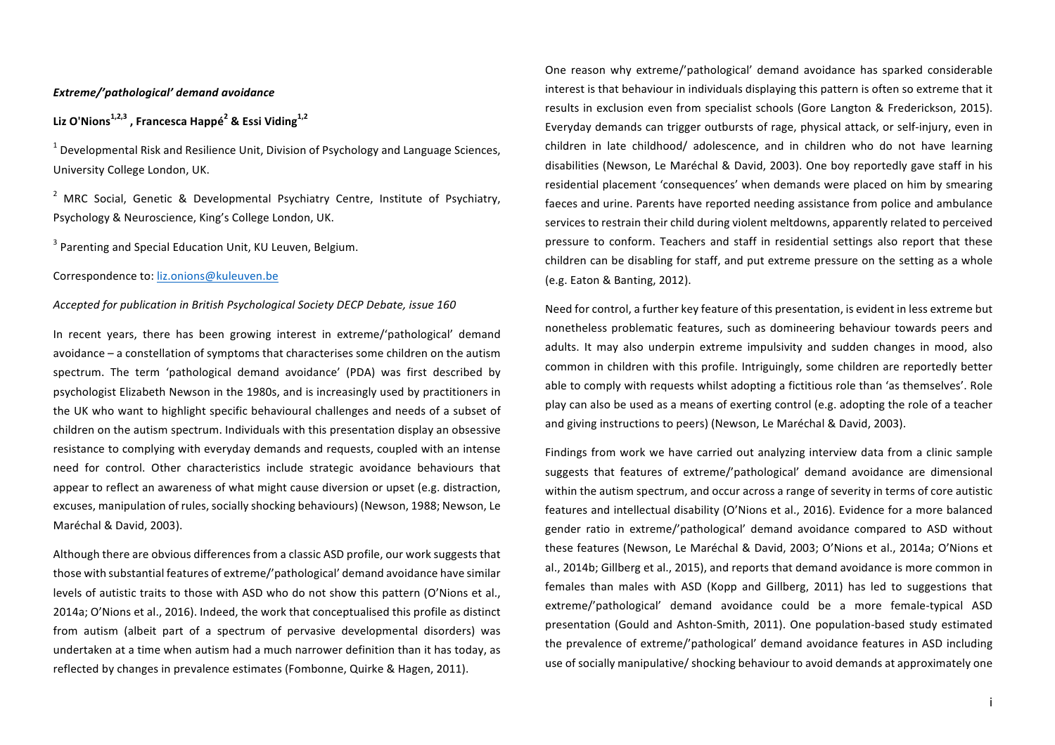## *Extreme/'pathological' demand avoidance*

# **Liz O'Nions1,2,3 , Francesca Happé<sup>2</sup> & Essi Viding1,2**

 $1$  Developmental Risk and Resilience Unit, Division of Psychology and Language Sciences, University College London, UK.

<sup>2</sup> MRC Social. Genetic & Developmental Psychiatry Centre, Institute of Psychiatry, Psychology & Neuroscience, King's College London, UK.

 $3$  Parenting and Special Education Unit, KU Leuven, Belgium.

Correspondence to: liz.onions@kuleuven.be

### *Accepted for publication in British Psychological Society DECP Debate, issue 160*

In recent vears, there has been growing interest in extreme/'pathological' demand avoidance – a constellation of symptoms that characterises some children on the autism spectrum. The term 'pathological demand avoidance' (PDA) was first described by psychologist Elizabeth Newson in the 1980s, and is increasingly used by practitioners in the UK who want to highlight specific behavioural challenges and needs of a subset of children on the autism spectrum. Individuals with this presentation display an obsessive resistance to complying with everyday demands and requests, coupled with an intense need for control. Other characteristics include strategic avoidance behaviours that appear to reflect an awareness of what might cause diversion or upset (e.g. distraction, excuses, manipulation of rules, socially shocking behaviours) (Newson, 1988; Newson, Le Maréchal & David, 2003).

Although there are obvious differences from a classic ASD profile, our work suggests that those with substantial features of extreme/'pathological' demand avoidance have similar levels of autistic traits to those with ASD who do not show this pattern (O'Nions et al., 2014a; O'Nions et al., 2016). Indeed, the work that conceptualised this profile as distinct from autism (albeit part of a spectrum of pervasive developmental disorders) was undertaken at a time when autism had a much narrower definition than it has today, as reflected by changes in prevalence estimates (Fombonne, Quirke & Hagen, 2011).

One reason why extreme/'pathological' demand avoidance has sparked considerable interest is that behaviour in individuals displaying this pattern is often so extreme that it results in exclusion even from specialist schools (Gore Langton & Frederickson, 2015). Everyday demands can trigger outbursts of rage, physical attack, or self-injury, even in children in late childhood/ adolescence, and in children who do not have learning disabilities (Newson, Le Maréchal & David, 2003). One boy reportedly gave staff in his residential placement 'consequences' when demands were placed on him by smearing faeces and urine. Parents have reported needing assistance from police and ambulance services to restrain their child during violent meltdowns, apparently related to perceived pressure to conform. Teachers and staff in residential settings also report that these children can be disabling for staff, and put extreme pressure on the setting as a whole (e.g. Eaton & Banting, 2012).

Need for control, a further key feature of this presentation, is evident in less extreme but nonetheless problematic features, such as domineering behaviour towards peers and adults. It may also underpin extreme impulsivity and sudden changes in mood, also common in children with this profile. Intriguingly, some children are reportedly better able to comply with requests whilst adopting a fictitious role than 'as themselves'. Role play can also be used as a means of exerting control (e.g. adopting the role of a teacher and giving instructions to peers) (Newson, Le Maréchal & David, 2003).

Findings from work we have carried out analyzing interview data from a clinic sample suggests that features of extreme/'pathological' demand avoidance are dimensional within the autism spectrum, and occur across a range of severity in terms of core autistic features and intellectual disability (O'Nions et al., 2016). Evidence for a more balanced gender ratio in extreme/'pathological' demand avoidance compared to ASD without these features (Newson, Le Maréchal & David, 2003; O'Nions et al., 2014a; O'Nions et al., 2014b; Gillberg et al., 2015), and reports that demand avoidance is more common in females than males with ASD (Kopp and Gillberg, 2011) has led to suggestions that extreme/'pathological' demand avoidance could be a more female-typical ASD presentation (Gould and Ashton-Smith, 2011). One population-based study estimated the prevalence of extreme/'pathological' demand avoidance features in ASD including use of socially manipulative/ shocking behaviour to avoid demands at approximately one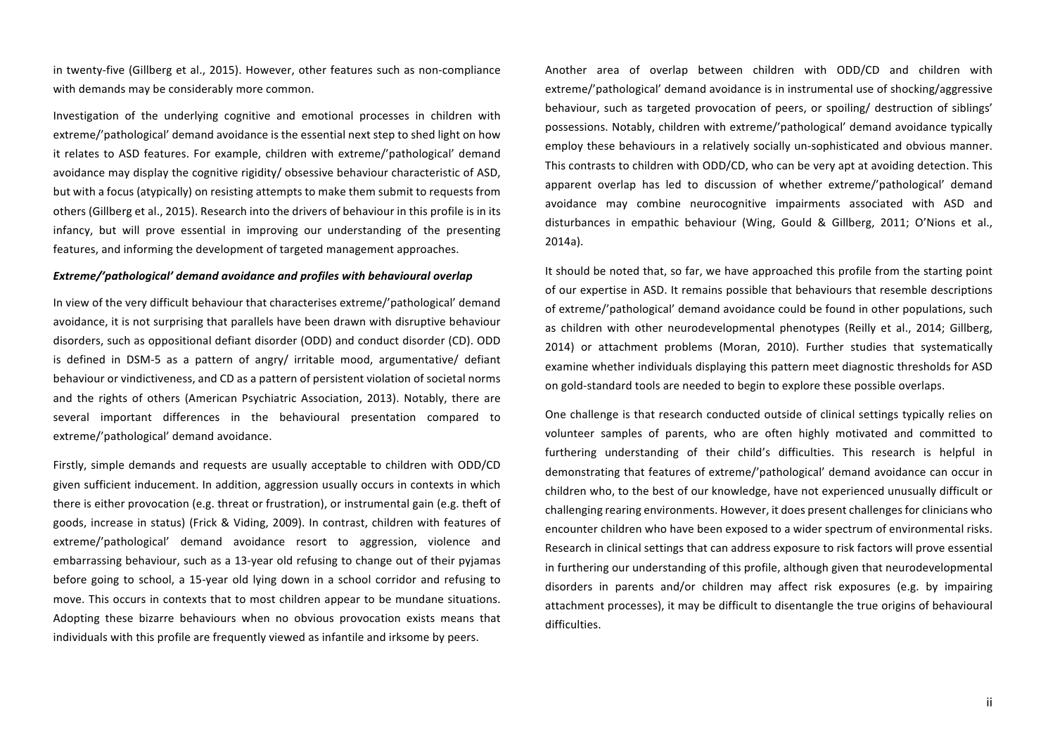in twenty-five (Gillberg et al., 2015). However, other features such as non-compliance with demands may be considerably more common.

Investigation of the underlying cognitive and emotional processes in children with extreme/'pathological' demand avoidance is the essential next step to shed light on how it relates to ASD features. For example, children with extreme/'pathological' demand avoidance may display the cognitive rigidity/ obsessive behaviour characteristic of ASD. but with a focus (atypically) on resisting attempts to make them submit to requests from others (Gillberg et al., 2015). Research into the drivers of behaviour in this profile is in its infancy, but will prove essential in improving our understanding of the presenting features, and informing the development of targeted management approaches.

#### Extreme/'pathological' demand avoidance and profiles with behavioural overlap

In view of the very difficult behaviour that characterises extreme/'pathological' demand avoidance, it is not surprising that parallels have been drawn with disruptive behaviour disorders, such as oppositional defiant disorder (ODD) and conduct disorder (CD). ODD is defined in DSM-5 as a pattern of angry/ irritable mood, argumentative/ defiant behaviour or vindictiveness, and CD as a pattern of persistent violation of societal norms and the rights of others (American Psychiatric Association, 2013). Notably, there are several important differences in the behavioural presentation compared to extreme/'pathological' demand avoidance.

Firstly, simple demands and requests are usually acceptable to children with ODD/CD given sufficient inducement. In addition, aggression usually occurs in contexts in which there is either provocation (e.g. threat or frustration), or instrumental gain (e.g. theft of goods, increase in status) (Frick & Viding, 2009). In contrast, children with features of extreme/'pathological' demand avoidance resort to aggression, violence and embarrassing behaviour, such as a 13-year old refusing to change out of their pyjamas before going to school, a 15-year old lying down in a school corridor and refusing to move. This occurs in contexts that to most children appear to be mundane situations. Adopting these bizarre behaviours when no obvious provocation exists means that individuals with this profile are frequently viewed as infantile and irksome by peers.

Another area of overlap between children with ODD/CD and children with extreme/'pathological' demand avoidance is in instrumental use of shocking/aggressive behaviour, such as targeted provocation of peers, or spoiling/ destruction of siblings' possessions. Notably, children with extreme/'pathological' demand avoidance typically employ these behaviours in a relatively socially un-sophisticated and obvious manner. This contrasts to children with ODD/CD, who can be very apt at avoiding detection. This apparent overlap has led to discussion of whether extreme/'pathological' demand avoidance may combine neurocognitive impairments associated with ASD and disturbances in empathic behaviour (Wing, Gould & Gillberg, 2011; O'Nions et al., 2014a).

It should be noted that, so far, we have approached this profile from the starting point of our expertise in ASD. It remains possible that behaviours that resemble descriptions of extreme/'pathological' demand avoidance could be found in other populations, such as children with other neurodevelopmental phenotypes (Reilly et al., 2014; Gillberg, 2014) or attachment problems (Moran, 2010). Further studies that systematically examine whether individuals displaying this pattern meet diagnostic thresholds for ASD on gold-standard tools are needed to begin to explore these possible overlaps.

One challenge is that research conducted outside of clinical settings typically relies on volunteer samples of parents, who are often highly motivated and committed to furthering understanding of their child's difficulties. This research is helpful in demonstrating that features of extreme/'pathological' demand avoidance can occur in children who, to the best of our knowledge, have not experienced unusually difficult or challenging rearing environments. However, it does present challenges for clinicians who encounter children who have been exposed to a wider spectrum of environmental risks. Research in clinical settings that can address exposure to risk factors will prove essential in furthering our understanding of this profile, although given that neurodevelopmental disorders in parents and/or children may affect risk exposures (e.g. by impairing attachment processes), it may be difficult to disentangle the true origins of behavioural difficulties.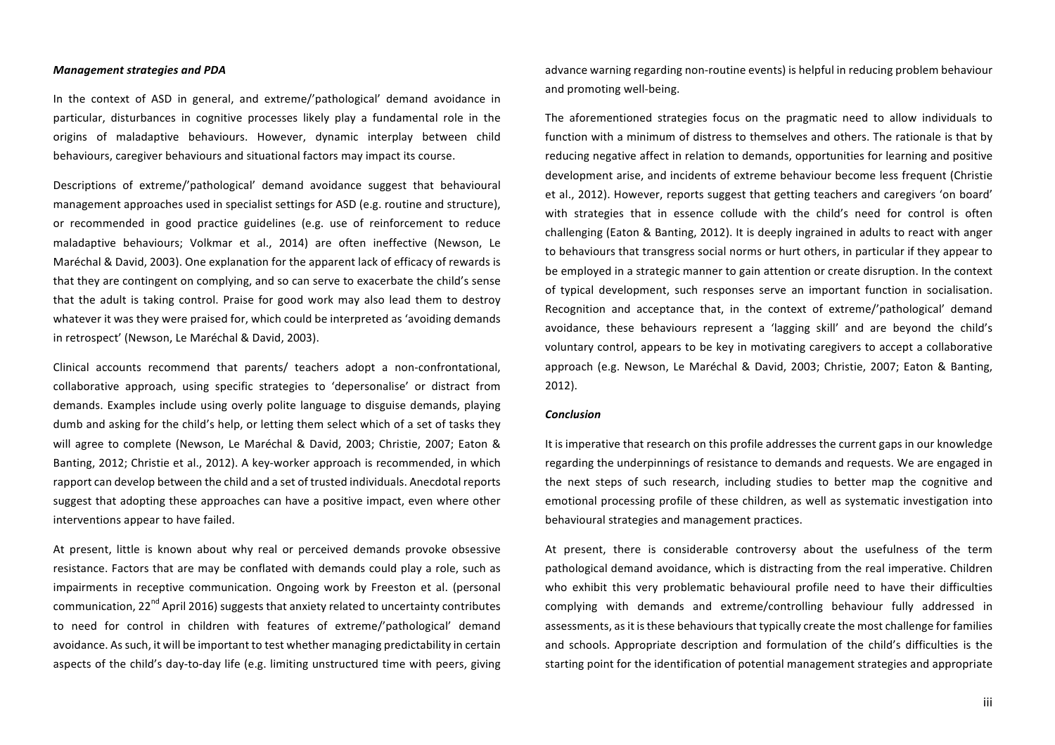#### *Management strategies and PDA*

In the context of ASD in general, and extreme/'pathological' demand avoidance in particular, disturbances in cognitive processes likely play a fundamental role in the origins of maladaptive behaviours. However, dynamic interplay between child behaviours, caregiver behaviours and situational factors may impact its course.

Descriptions of extreme/'pathological' demand avoidance suggest that behavioural management approaches used in specialist settings for ASD (e.g. routine and structure). or recommended in good practice guidelines (e.g. use of reinforcement to reduce maladaptive behaviours; Volkmar et al., 2014) are often ineffective (Newson, Le Maréchal & David, 2003). One explanation for the apparent lack of efficacy of rewards is that they are contingent on complying, and so can serve to exacerbate the child's sense that the adult is taking control. Praise for good work may also lead them to destroy whatever it was they were praised for, which could be interpreted as 'avoiding demands in retrospect' (Newson, Le Maréchal & David, 2003).

Clinical accounts recommend that parents/ teachers adopt a non-confrontational, collaborative approach, using specific strategies to 'depersonalise' or distract from demands. Examples include using overly polite language to disguise demands, playing dumb and asking for the child's help, or letting them select which of a set of tasks they will agree to complete (Newson, Le Maréchal & David, 2003; Christie, 2007; Eaton & Banting, 2012; Christie et al., 2012). A key-worker approach is recommended, in which rapport can develop between the child and a set of trusted individuals. Anecdotal reports suggest that adopting these approaches can have a positive impact, even where other interventions appear to have failed.

At present, little is known about why real or perceived demands provoke obsessive resistance. Factors that are may be conflated with demands could play a role, such as impairments in receptive communication. Ongoing work by Freeston et al. (personal communication, 22<sup>nd</sup> April 2016) suggests that anxiety related to uncertainty contributes to need for control in children with features of extreme/'pathological' demand avoidance. As such, it will be important to test whether managing predictability in certain aspects of the child's day-to-day life (e.g. limiting unstructured time with peers, giving advance warning regarding non-routine events) is helpful in reducing problem behaviour and promoting well-being.

The aforementioned strategies focus on the pragmatic need to allow individuals to function with a minimum of distress to themselves and others. The rationale is that by reducing negative affect in relation to demands, opportunities for learning and positive development arise, and incidents of extreme behaviour become less frequent (Christie et al., 2012). However, reports suggest that getting teachers and caregivers 'on board' with strategies that in essence collude with the child's need for control is often challenging (Eaton & Banting, 2012). It is deeply ingrained in adults to react with anger to behaviours that transgress social norms or hurt others, in particular if they appear to be employed in a strategic manner to gain attention or create disruption. In the context of typical development, such responses serve an important function in socialisation. Recognition and acceptance that, in the context of extreme/'pathological' demand avoidance, these behaviours represent a 'lagging skill' and are beyond the child's voluntary control, appears to be key in motivating caregivers to accept a collaborative approach (e.g. Newson, Le Maréchal & David, 2003; Christie, 2007; Eaton & Banting, 2012). 

#### *Conclusion*

It is imperative that research on this profile addresses the current gaps in our knowledge regarding the underpinnings of resistance to demands and requests. We are engaged in the next steps of such research, including studies to better map the cognitive and emotional processing profile of these children, as well as systematic investigation into behavioural strategies and management practices.

At present, there is considerable controversy about the usefulness of the term pathological demand avoidance, which is distracting from the real imperative. Children who exhibit this very problematic behavioural profile need to have their difficulties complying with demands and extreme/controlling behaviour fully addressed in assessments, as it is these behaviours that typically create the most challenge for families and schools. Appropriate description and formulation of the child's difficulties is the starting point for the identification of potential management strategies and appropriate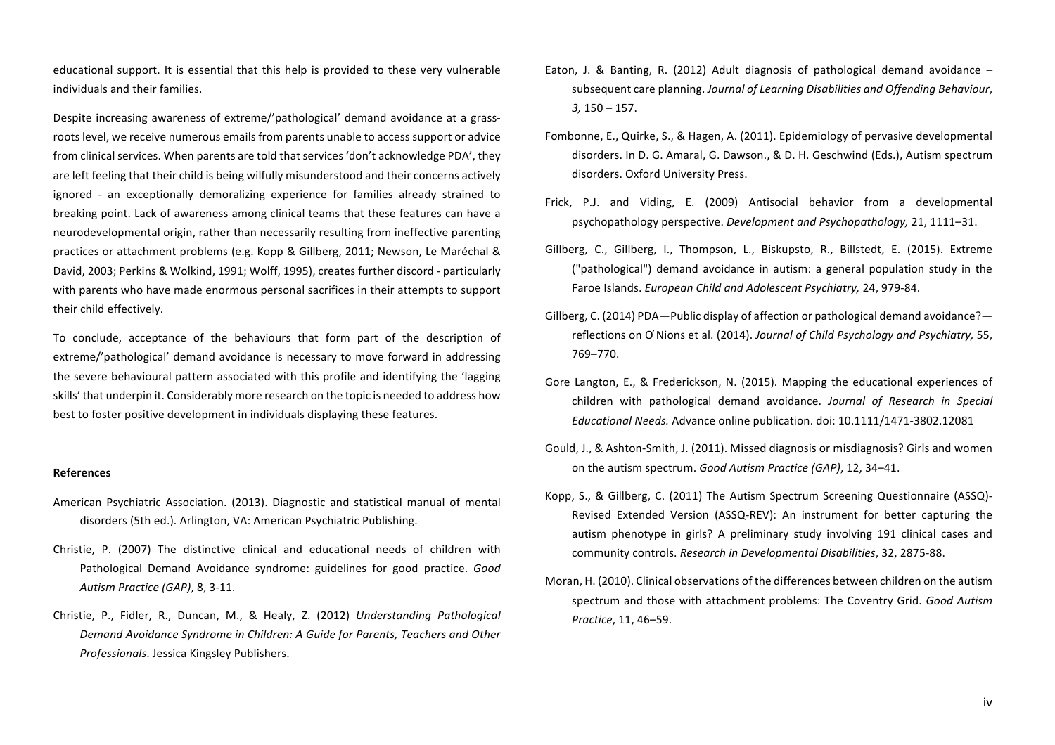educational support. It is essential that this help is provided to these very vulnerable individuals and their families.

Despite increasing awareness of extreme/'pathological' demand avoidance at a grassroots level, we receive numerous emails from parents unable to access support or advice from clinical services. When parents are told that services 'don't acknowledge PDA', they are left feeling that their child is being wilfully misunderstood and their concerns actively ignored - an exceptionally demoralizing experience for families already strained to breaking point. Lack of awareness among clinical teams that these features can have a neurodevelopmental origin, rather than necessarily resulting from ineffective parenting practices or attachment problems (e.g. Kopp & Gillberg, 2011; Newson, Le Maréchal & David, 2003; Perkins & Wolkind, 1991; Wolff, 1995), creates further discord - particularly with parents who have made enormous personal sacrifices in their attempts to support their child effectively.

To conclude, acceptance of the behaviours that form part of the description of extreme/'pathological' demand avoidance is necessary to move forward in addressing the severe behavioural pattern associated with this profile and identifying the 'lagging skills' that underpin it. Considerably more research on the topic is needed to address how best to foster positive development in individuals displaying these features.

### **References**

- American Psychiatric Association. (2013). Diagnostic and statistical manual of mental disorders (5th ed.). Arlington, VA: American Psychiatric Publishing.
- Christie, P. (2007) The distinctive clinical and educational needs of children with Pathological Demand Avoidance syndrome: guidelines for good practice. Good *Autism Practice (GAP)*, 8, 3-11.
- Christie, P., Fidler, R., Duncan, M., & Healy, Z. (2012) *Understanding Pathological* Demand Avoidance Syndrome in Children: A Guide for Parents, Teachers and Other *Professionals*. Jessica Kingsley Publishers.
- Eaton, J. & Banting, R. (2012) Adult diagnosis of pathological demand avoidance  $$ subsequent care planning. *Journal of Learning Disabilities and Offending Behaviour*, *3,* 150 – 157.
- Fombonne, E., Quirke, S., & Hagen, A. (2011). Epidemiology of pervasive developmental disorders. In D. G. Amaral, G. Dawson., & D. H. Geschwind (Eds.), Autism spectrum disorders. Oxford University Press.
- Frick, P.J. and Viding, E. (2009) Antisocial behavior from a developmental psychopathology perspective. *Development and Psychopathology,* 21, 1111–31.
- Gillberg, C., Gillberg, I., Thompson, L., Biskupsto, R., Billstedt, E. (2015). Extreme ("pathological") demand avoidance in autism: a general population study in the Faroe Islands. *European Child and Adolescent Psychiatry*, 24, 979-84.
- Gillberg, C. (2014) PDA—Public display of affection or pathological demand avoidance? reflections on O'Nions et al. (2014). *Journal of Child Psychology and Psychiatry*, 55, 769–770.
- Gore Langton, E., & Frederickson, N. (2015). Mapping the educational experiences of children with pathological demand avoidance. *Journal of Research in Special Educational Needs.* Advance online publication. doi: 10.1111/1471-3802.12081
- Gould, J., & Ashton-Smith, J. (2011). Missed diagnosis or misdiagnosis? Girls and women on the autism spectrum. *Good Autism Practice (GAP)*, 12, 34–41.
- Kopp, S., & Gillberg, C. (2011) The Autism Spectrum Screening Questionnaire (ASSQ)-Revised Extended Version (ASSQ-REV): An instrument for better capturing the autism phenotype in girls? A preliminary study involving 191 clinical cases and community controls. *Research in Developmental Disabilities*, 32, 2875-88.
- Moran, H. (2010). Clinical observations of the differences between children on the autism spectrum and those with attachment problems: The Coventry Grid. *Good Autism Practice*, 11, 46–59.